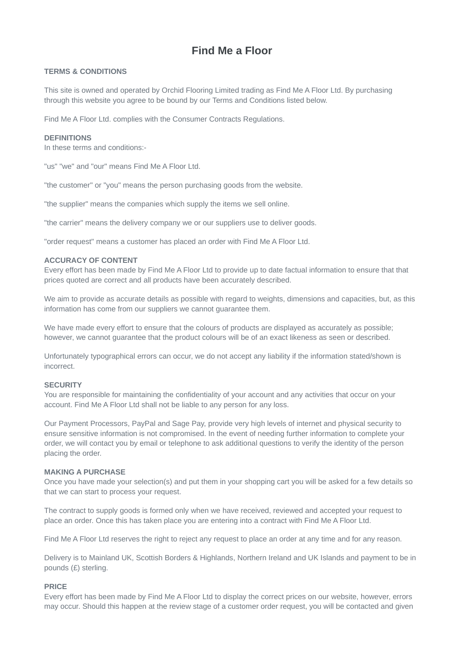# **Find Me a Floor**

## **TERMS & CONDITIONS**

This site is owned and operated by Orchid Flooring Limited trading as Find Me A Floor Ltd. By purchasing through this website you agree to be bound by our Terms and Conditions listed below.

Find Me A Floor Ltd. complies with the Consumer Contracts Regulations.

## **DEFINITIONS**

In these terms and conditions:-

"us" "we" and "our" means Find Me A Floor Ltd.

"the customer" or "you" means the person purchasing goods from the website.

"the supplier" means the companies which supply the items we sell online.

"the carrier" means the delivery company we or our suppliers use to deliver goods.

"order request" means a customer has placed an order with Find Me A Floor Ltd.

## **ACCURACY OF CONTENT**

Every effort has been made by Find Me A Floor Ltd to provide up to date factual information to ensure that that prices quoted are correct and all products have been accurately described.

We aim to provide as accurate details as possible with regard to weights, dimensions and capacities, but, as this information has come from our suppliers we cannot guarantee them.

We have made every effort to ensure that the colours of products are displayed as accurately as possible; however, we cannot guarantee that the product colours will be of an exact likeness as seen or described.

Unfortunately typographical errors can occur, we do not accept any liability if the information stated/shown is incorrect.

#### **SECURITY**

You are responsible for maintaining the confidentiality of your account and any activities that occur on your account. Find Me A Floor Ltd shall not be liable to any person for any loss.

Our Payment Processors, PayPal and Sage Pay, provide very high levels of internet and physical security to ensure sensitive information is not compromised. In the event of needing further information to complete your order, we will contact you by email or telephone to ask additional questions to verify the identity of the person placing the order.

#### **MAKING A PURCHASE**

Once you have made your selection(s) and put them in your shopping cart you will be asked for a few details so that we can start to process your request.

The contract to supply goods is formed only when we have received, reviewed and accepted your request to place an order. Once this has taken place you are entering into a contract with Find Me A Floor Ltd.

Find Me A Floor Ltd reserves the right to reject any request to place an order at any time and for any reason.

Delivery is to Mainland UK, Scottish Borders & Highlands, Northern Ireland and UK Islands and payment to be in pounds (£) sterling.

#### **PRICE**

Every effort has been made by Find Me A Floor Ltd to display the correct prices on our website, however, errors may occur. Should this happen at the review stage of a customer order request, you will be contacted and given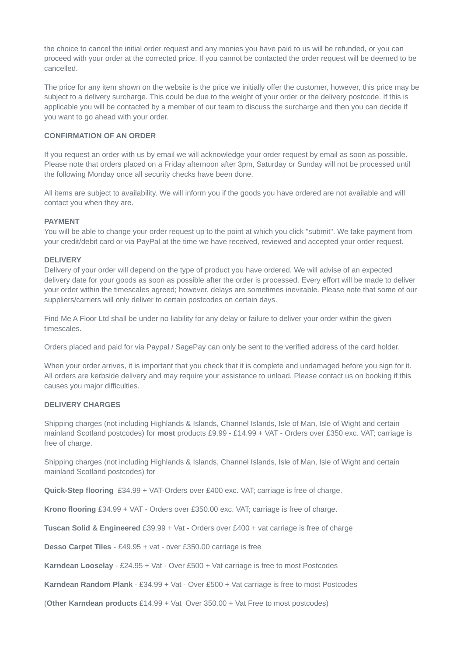the choice to cancel the initial order request and any monies you have paid to us will be refunded, or you can proceed with your order at the corrected price. If you cannot be contacted the order request will be deemed to be cancelled.

The price for any item shown on the website is the price we initially offer the customer, however, this price may be subject to a delivery surcharge. This could be due to the weight of your order or the delivery postcode. If this is applicable you will be contacted by a member of our team to discuss the surcharge and then you can decide if you want to go ahead with your order.

## **CONFIRMATION OF AN ORDER**

If you request an order with us by email we will acknowledge your order request by email as soon as possible. Please note that orders placed on a Friday afternoon after 3pm, Saturday or Sunday will not be processed until the following Monday once all security checks have been done.

All items are subject to availability. We will inform you if the goods you have ordered are not available and will contact you when they are.

#### **PAYMENT**

You will be able to change your order request up to the point at which you click "submit". We take payment from your credit/debit card or via PayPal at the time we have received, reviewed and accepted your order request.

## **DELIVERY**

Delivery of your order will depend on the type of product you have ordered. We will advise of an expected delivery date for your goods as soon as possible after the order is processed. Every effort will be made to deliver your order within the timescales agreed; however, delays are sometimes inevitable. Please note that some of our suppliers/carriers will only deliver to certain postcodes on certain days.

Find Me A Floor Ltd shall be under no liability for any delay or failure to deliver your order within the given timescales.

Orders placed and paid for via Paypal / SagePay can only be sent to the verified address of the card holder.

When your order arrives, it is important that you check that it is complete and undamaged before you sign for it. All orders are kerbside delivery and may require your assistance to unload. Please contact us on booking if this causes you major difficulties.

#### **DELIVERY CHARGES**

Shipping charges (not including Highlands & Islands, Channel Islands, Isle of Man, Isle of Wight and certain mainland Scotland postcodes) for **most** products £9.99 - £14.99 + VAT - Orders over £350 exc. VAT; carriage is free of charge.

Shipping charges (not including Highlands & Islands, Channel Islands, Isle of Man, Isle of Wight and certain mainland Scotland postcodes) for

**Quick-Step flooring** £34.99 + VAT-Orders over £400 exc. VAT; carriage is free of charge.

**Krono flooring** £34.99 + VAT - Orders over £350.00 exc. VAT; carriage is free of charge.

**Tuscan Solid & Engineered** £39.99 + Vat - Orders over £400 + vat carriage is free of charge

**Desso Carpet Tiles** - £49.95 + vat - over £350.00 carriage is free

**Karndean Looselay** - £24.95 + Vat - Over £500 + Vat carriage is free to most Postcodes

**Karndean Random Plank** - £34.99 + Vat - Over £500 + Vat carriage is free to most Postcodes

(**Other Karndean products** £14.99 + Vat Over 350.00 + Vat Free to most postcodes)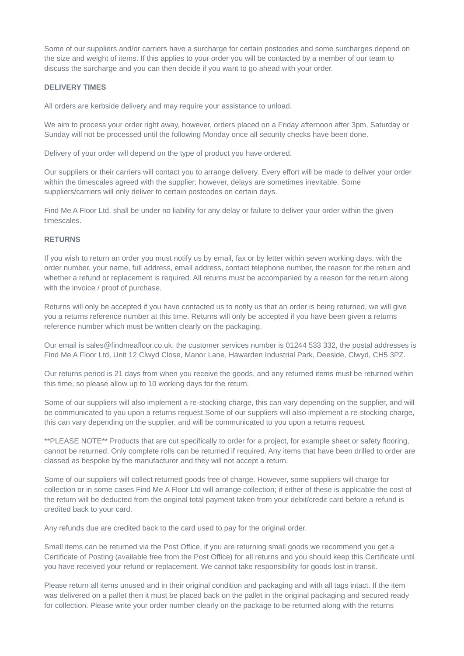Some of our suppliers and/or carriers have a surcharge for certain postcodes and some surcharges depend on the size and weight of items. If this applies to your order you will be contacted by a member of our team to discuss the surcharge and you can then decide if you want to go ahead with your order.

## **DELIVERY TIMES**

All orders are kerbside delivery and may require your assistance to unload.

We aim to process your order right away, however, orders placed on a Friday afternoon after 3pm, Saturday or Sunday will not be processed until the following Monday once all security checks have been done.

Delivery of your order will depend on the type of product you have ordered.

Our suppliers or their carriers will contact you to arrange delivery. Every effort will be made to deliver your order within the timescales agreed with the supplier; however, delays are sometimes inevitable. Some suppliers/carriers will only deliver to certain postcodes on certain days.

Find Me A Floor Ltd. shall be under no liability for any delay or failure to deliver your order within the given timescales.

## **RETURNS**

If you wish to return an order you must notify us by email, fax or by letter within seven working days, with the order number, your name, full address, email address, contact telephone number, the reason for the return and whether a refund or replacement is required. All returns must be accompanied by a reason for the return along with the invoice / proof of purchase.

Returns will only be accepted if you have contacted us to notify us that an order is being returned, we will give you a returns reference number at this time. Returns will only be accepted if you have been given a returns reference number which must be written clearly on the packaging.

Our email is sales@findmeafloor.co.uk, the customer services number is 01244 533 332, the postal addresses is Find Me A Floor Ltd, Unit 12 Clwyd Close, Manor Lane, Hawarden Industrial Park, Deeside, Clwyd, CH5 3PZ.

Our returns period is 21 days from when you receive the goods, and any returned items must be returned within this time, so please allow up to 10 working days for the return.

Some of our suppliers will also implement a re-stocking charge, this can vary depending on the supplier, and will be communicated to you upon a returns request.Some of our suppliers will also implement a re-stocking charge, this can vary depending on the supplier, and will be communicated to you upon a returns request.

\*\*PLEASE NOTE\*\* Products that are cut specifically to order for a project, for example sheet or safety flooring, cannot be returned. Only complete rolls can be returned if required. Any items that have been drilled to order are classed as bespoke by the manufacturer and they will not accept a return.

Some of our suppliers will collect returned goods free of charge. However, some suppliers will charge for collection or in some cases Find Me A Floor Ltd will arrange collection; if either of these is applicable the cost of the return will be deducted from the original total payment taken from your debit/credit card before a refund is credited back to your card.

Any refunds due are credited back to the card used to pay for the original order.

Small items can be returned via the Post Office, if you are returning small goods we recommend you get a Certificate of Posting (available free from the Post Office) for all returns and you should keep this Certificate until you have received your refund or replacement. We cannot take responsibility for goods lost in transit.

Please return all items unused and in their original condition and packaging and with all tags intact. If the item was delivered on a pallet then it must be placed back on the pallet in the original packaging and secured ready for collection. Please write your order number clearly on the package to be returned along with the returns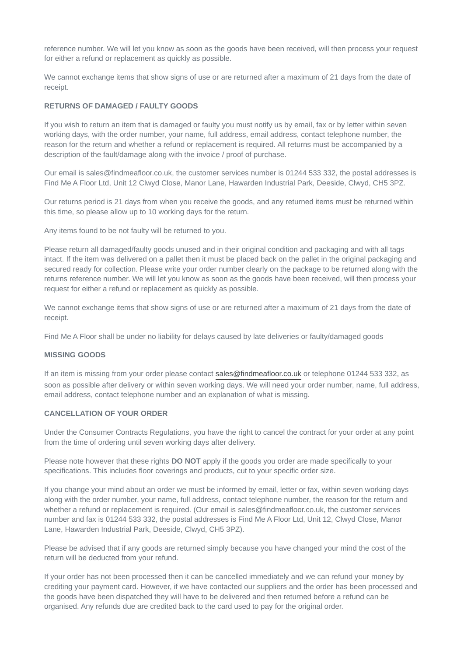reference number. We will let you know as soon as the goods have been received, will then process your request for either a refund or replacement as quickly as possible.

We cannot exchange items that show signs of use or are returned after a maximum of 21 days from the date of receipt.

#### **RETURNS OF DAMAGED / FAULTY GOODS**

If you wish to return an item that is damaged or faulty you must notify us by email, fax or by letter within seven working days, with the order number, your name, full address, email address, contact telephone number, the reason for the return and whether a refund or replacement is required. All returns must be accompanied by a description of the fault/damage along with the invoice / proof of purchase.

Our email is sales@findmeafloor.co.uk, the customer services number is 01244 533 332, the postal addresses is Find Me A Floor Ltd, Unit 12 Clwyd Close, Manor Lane, Hawarden Industrial Park, Deeside, Clwyd, CH5 3PZ.

Our returns period is 21 days from when you receive the goods, and any returned items must be returned within this time, so please allow up to 10 working days for the return.

Any items found to be not faulty will be returned to you.

Please return all damaged/faulty goods unused and in their original condition and packaging and with all tags intact. If the item was delivered on a pallet then it must be placed back on the pallet in the original packaging and secured ready for collection. Please write your order number clearly on the package to be returned along with the returns reference number. We will let you know as soon as the goods have been received, will then process your request for either a refund or replacement as quickly as possible.

We cannot exchange items that show signs of use or are returned after a maximum of 21 days from the date of receipt.

Find Me A Floor shall be under no liability for delays caused by late deliveries or faulty/damaged goods

## **MISSING GOODS**

If an item is missing from your order please contact [sales@findmeafloor.co.uk](mailto:sales@findmeafloor.co.uk) or telephone 01244 533 332, as soon as possible after delivery or within seven working days. We will need your order number, name, full address, email address, contact telephone number and an explanation of what is missing.

## **CANCELLATION OF YOUR ORDER**

Under the Consumer Contracts Regulations, you have the right to cancel the contract for your order at any point from the time of ordering until seven working days after delivery.

Please note however that these rights **DO NOT** apply if the goods you order are made specifically to your specifications. This includes floor coverings and products, cut to your specific order size.

If you change your mind about an order we must be informed by email, letter or fax, within seven working days along with the order number, your name, full address, contact telephone number, the reason for the return and whether a refund or replacement is required. (Our email is sales@findmeafloor.co.uk, the customer services number and fax is 01244 533 332, the postal addresses is Find Me A Floor Ltd, Unit 12, Clwyd Close, Manor Lane, Hawarden Industrial Park, Deeside, Clwyd, CH5 3PZ).

Please be advised that if any goods are returned simply because you have changed your mind the cost of the return will be deducted from your refund.

If your order has not been processed then it can be cancelled immediately and we can refund your money by crediting your payment card. However, if we have contacted our suppliers and the order has been processed and the goods have been dispatched they will have to be delivered and then returned before a refund can be organised. Any refunds due are credited back to the card used to pay for the original order.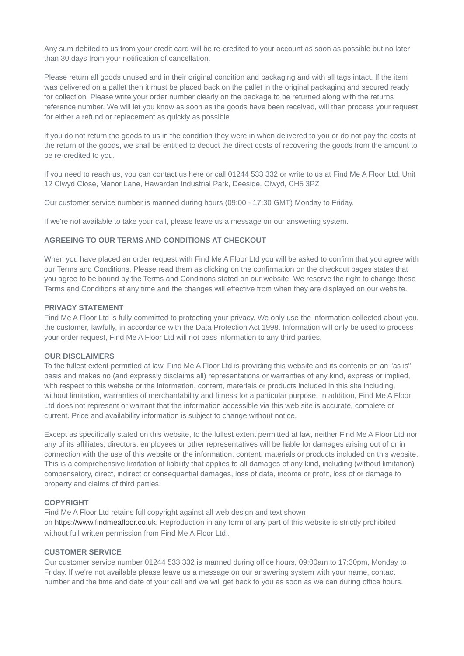Any sum debited to us from your credit card will be re-credited to your account as soon as possible but no later than 30 days from your notification of cancellation.

Please return all goods unused and in their original condition and packaging and with all tags intact. If the item was delivered on a pallet then it must be placed back on the pallet in the original packaging and secured ready for collection. Please write your order number clearly on the package to be returned along with the returns reference number. We will let you know as soon as the goods have been received, will then process your request for either a refund or replacement as quickly as possible.

If you do not return the goods to us in the condition they were in when delivered to you or do not pay the costs of the return of the goods, we shall be entitled to deduct the direct costs of recovering the goods from the amount to be re-credited to you.

If you need to reach us, you can contact us here or call 01244 533 332 or write to us at Find Me A Floor Ltd, Unit 12 Clwyd Close, Manor Lane, Hawarden Industrial Park, Deeside, Clwyd, CH5 3PZ

Our customer service number is manned during hours (09:00 - 17:30 GMT) Monday to Friday.

If we're not available to take your call, please leave us a message on our answering system.

## **AGREEING TO OUR TERMS AND CONDITIONS AT CHECKOUT**

When you have placed an order request with Find Me A Floor Ltd you will be asked to confirm that you agree with our Terms and Conditions. Please read them as clicking on the confirmation on the checkout pages states that you agree to be bound by the Terms and Conditions stated on our website. We reserve the right to change these Terms and Conditions at any time and the changes will effective from when they are displayed on our website.

#### **PRIVACY STATEMENT**

Find Me A Floor Ltd is fully committed to protecting your privacy. We only use the information collected about you, the customer, lawfully, in accordance with the Data Protection Act 1998. Information will only be used to process your order request, Find Me A Floor Ltd will not pass information to any third parties.

#### **OUR DISCLAIMERS**

To the fullest extent permitted at law, Find Me A Floor Ltd is providing this website and its contents on an "as is" basis and makes no (and expressly disclaims all) representations or warranties of any kind, express or implied, with respect to this website or the information, content, materials or products included in this site including, without limitation, warranties of merchantability and fitness for a particular purpose. In addition, Find Me A Floor Ltd does not represent or warrant that the information accessible via this web site is accurate, complete or current. Price and availability information is subject to change without notice.

Except as specifically stated on this website, to the fullest extent permitted at law, neither Find Me A Floor Ltd nor any of its affiliates, directors, employees or other representatives will be liable for damages arising out of or in connection with the use of this website or the information, content, materials or products included on this website. This is a comprehensive limitation of liability that applies to all damages of any kind, including (without limitation) compensatory, direct, indirect or consequential damages, loss of data, income or profit, loss of or damage to property and claims of third parties.

#### **COPYRIGHT**

Find Me A Floor Ltd retains full copyright against all web design and text shown on [https://www.findmeafloor.co.uk.](https://www.findmeafloor.co.uk/) Reproduction in any form of any part of this website is strictly prohibited without full written permission from Find Me A Floor Ltd..

# **CUSTOMER SERVICE**

Our customer service number 01244 533 332 is manned during office hours, 09:00am to 17:30pm, Monday to Friday. If we're not available please leave us a message on our answering system with your name, contact number and the time and date of your call and we will get back to you as soon as we can during office hours.